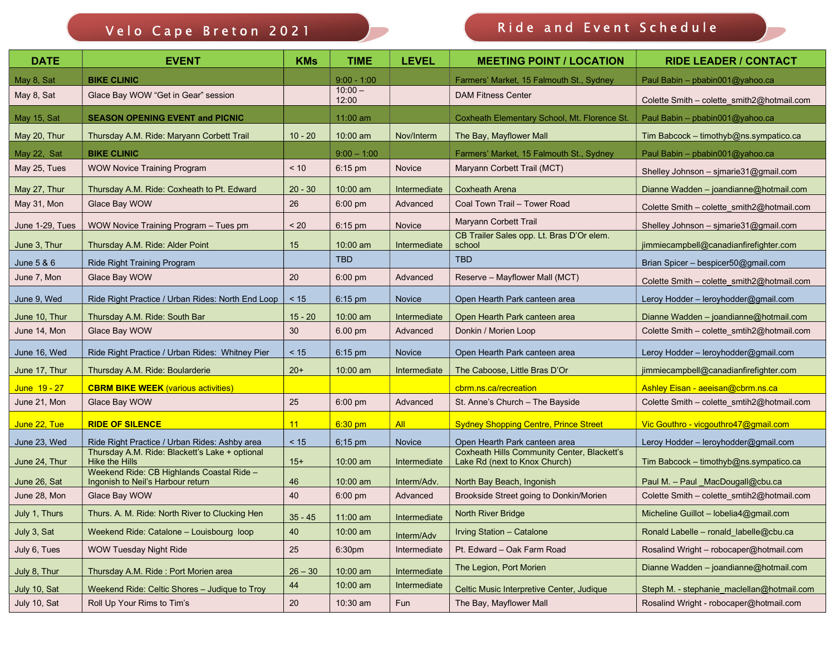## Velo Cape Breton 2021 Ride and Event Schedule

| <b>DATE</b>     | <b>EVENT</b>                                                                   | <b>KMs</b> | <b>TIME</b>        | <b>LEVEL</b> | <b>MEETING POINT / LOCATION</b>                                                     | <b>RIDE LEADER / CONTACT</b>               |
|-----------------|--------------------------------------------------------------------------------|------------|--------------------|--------------|-------------------------------------------------------------------------------------|--------------------------------------------|
| May 8, Sat      | <b>BIKE CLINIC</b>                                                             |            | $9:00 - 1:00$      |              | Farmers' Market, 15 Falmouth St., Sydney                                            | Paul Babin - pbabin001@yahoo.ca            |
| May 8, Sat      | Glace Bay WOW "Get in Gear" session                                            |            | $10:00 -$<br>12:00 |              | <b>DAM Fitness Center</b>                                                           | Colette Smith - colette_smith2@hotmail.com |
| May 15, Sat     | <b>SEASON OPENING EVENT and PICNIC</b>                                         |            | 11:00 am           |              | Coxheath Elementary School, Mt. Florence St.                                        | Paul Babin - pbabin001@yahoo.ca            |
| May 20, Thur    | Thursday A.M. Ride: Maryann Corbett Trail                                      | $10 - 20$  | $10:00$ am         | Nov/Interm   | The Bay, Mayflower Mall                                                             | Tim Babcock - timothyb@ns.sympatico.ca     |
| May 22, Sat     | <b>BIKE CLINIC</b>                                                             |            | $9:00 - 1:00$      |              | Farmers' Market, 15 Falmouth St., Sydney                                            | Paul Babin - pbabin001@yahoo.ca            |
| May 25, Tues    | <b>WOW Novice Training Program</b>                                             | < 10       | 6:15 pm            | Novice       | Maryann Corbett Trail (MCT)                                                         | Shelley Johnson - sjmarie $31$ @gmail.com  |
| May 27, Thur    | Thursday A.M. Ride: Coxheath to Pt. Edward                                     | $20 - 30$  | 10:00 am           | Intermediate | <b>Coxheath Arena</b>                                                               | Dianne Wadden - joandianne@hotmail.com     |
| May 31, Mon     | Glace Bay WOW                                                                  | 26         | 6:00 pm            | Advanced     | Coal Town Trail - Tower Road                                                        | Colette Smith - colette_smith2@hotmail.com |
| June 1-29, Tues | WOW Novice Training Program - Tues pm                                          | < 20       | 6:15 pm            | Novice       | Maryann Corbett Trail                                                               | Shelley Johnson - sjmarie31@gmail.com      |
| June 3, Thur    | Thursday A.M. Ride: Alder Point                                                | 15         | 10:00 am           | Intermediate | CB Trailer Sales opp. Lt. Bras D'Or elem.<br>school                                 | jimmiecampbell@canadianfirefighter.com     |
| June 5 & 6      | <b>Ride Right Training Program</b>                                             |            | <b>TBD</b>         |              | <b>TBD</b>                                                                          | Brian Spicer - bespicer50@gmail.com        |
| June 7, Mon     | Glace Bay WOW                                                                  | 20         | 6:00 pm            | Advanced     | Reserve - Mayflower Mall (MCT)                                                      | Colette Smith - colette smith2@hotmail.com |
| June 9, Wed     | Ride Right Practice / Urban Rides: North End Loop                              | < 15       | 6:15 pm            | Novice       | Open Hearth Park canteen area                                                       | Leroy Hodder - leroyhodder@gmail.com       |
| June 10, Thur   | Thursday A.M. Ride: South Bar                                                  | $15 - 20$  | 10:00 am           | Intermediate | Open Hearth Park canteen area                                                       | Dianne Wadden - joandianne@hotmail.com     |
| June 14, Mon    | Glace Bay WOW                                                                  | 30         | 6.00 pm            | Advanced     | Donkin / Morien Loop                                                                | Colette Smith - colette_smtih2@hotmail.com |
| June 16, Wed    | Ride Right Practice / Urban Rides: Whitney Pier                                | < 15       | 6:15 pm            | Novice       | Open Hearth Park canteen area                                                       | Leroy Hodder - leroyhodder@gmail.com       |
| June 17, Thur   | Thursday A.M. Ride: Boularderie                                                | $20+$      | $10:00$ am         | Intermediate | The Caboose, Little Bras D'Or                                                       | jimmiecampbell@canadianfirefighter.com     |
| June 19 - 27    | <b>CBRM BIKE WEEK (various activities)</b>                                     |            |                    |              | cbrm.ns.ca/recreation                                                               | Ashley Eisan - aeeisan@cbrm.ns.ca          |
| June 21, Mon    | Glace Bay WOW                                                                  | 25         | 6:00 pm            | Advanced     | St. Anne's Church - The Bayside                                                     | Colette Smith - colette_smtih2@hotmail.com |
| June 22, Tue    | <b>RIDE OF SILENCE</b>                                                         | 11         | $6:30$ pm          | <b>All</b>   | <b>Sydney Shopping Centre, Prince Street</b>                                        | Vic Gouthro - vicgouthro47@gmail.com       |
| June 23, Wed    | Ride Right Practice / Urban Rides: Ashby area                                  | $< 15$     | 6;15 pm            | Novice       | Open Hearth Park canteen area                                                       | Leroy Hodder - leroyhodder@gmail.com       |
| June 24, Thur   | Thursday A.M. Ride: Blackett's Lake + optional<br><b>Hike the Hills</b>        | $15+$      | $10:00$ am         | Intermediate | <b>Coxheath Hills Community Center, Blackett's</b><br>Lake Rd (next to Knox Church) | Tim Babcock - timothyb@ns.sympatico.ca     |
| June 26, Sat    | Weekend Ride: CB Highlands Coastal Ride -<br>Ingonish to Neil's Harbour return | 46         | 10:00 am           | Interm/Adv.  | North Bay Beach, Ingonish                                                           | Paul M. - Paul MacDougall@cbu.ca           |
| June 28, Mon    | Glace Bay WOW                                                                  | 40         | 6:00 pm            | Advanced     | Brookside Street going to Donkin/Morien                                             | Colette Smith - colette_smtih2@hotmail.com |
| July 1, Thurs   | Thurs. A. M. Ride: North River to Clucking Hen                                 | $35 - 45$  | 11:00 am           | Intermediate | North River Bridge                                                                  | Micheline Guillot - lobelia4@gmail.com     |
| July 3, Sat     | Weekend Ride: Catalone - Louisbourg loop                                       | $40\,$     | 10:00 am           | Interm/Adv   | Irving Station - Catalone                                                           | Ronald Labelle - ronald_labelle@cbu.ca     |
| July 6, Tues    | <b>WOW Tuesday Night Ride</b>                                                  | 25         | 6:30pm             | Intermediate | Pt. Edward - Oak Farm Road                                                          | Rosalind Wright - robocaper@hotmail.com    |
| July 8, Thur    | Thursday A.M. Ride: Port Morien area                                           | $26 - 30$  | 10:00 am           | Intermediate | The Legion, Port Morien                                                             | Dianne Wadden - joandianne@hotmail.com     |
| July 10, Sat    | Weekend Ride: Celtic Shores - Judique to Troy                                  | 44         | 10:00 am           | Intermediate | Celtic Music Interpretive Center, Judique                                           | Steph M. - stephanie maclellan@hotmail.com |
| July 10, Sat    | Roll Up Your Rims to Tim's                                                     | 20         | 10:30 am           | Fun          | The Bay, Mayflower Mall                                                             | Rosalind Wright - robocaper@hotmail.com    |